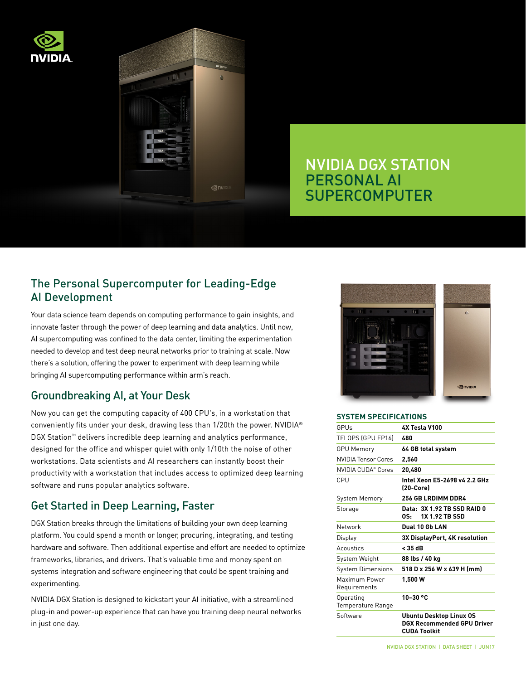



# NVIDIA DGX STATION PERSONAL AI SUPERCOMPUTER

# The Personal Supercomputer for Leading-Edge AI Development

Your data science team depends on computing performance to gain insights, and innovate faster through the power of deep learning and data analytics. Until now, AI supercomputing was confined to the data center, limiting the experimentation needed to develop and test deep neural networks prior to training at scale. Now there's a solution, offering the power to experiment with deep learning while bringing AI supercomputing performance within arm's reach.

# Groundbreaking AI, at Your Desk

Now you can get the computing capacity of 400 CPU's, in a workstation that conveniently fits under your desk, drawing less than 1/20th the power. NVIDIA® DGX Station™ delivers incredible deep learning and analytics performance, designed for the office and whisper quiet with only 1/10th the noise of other workstations. Data scientists and AI researchers can instantly boost their productivity with a workstation that includes access to optimized deep learning software and runs popular analytics software.

# Get Started in Deep Learning, Faster

DGX Station breaks through the limitations of building your own deep learning platform. You could spend a month or longer, procuring, integrating, and testing hardware and software. Then additional expertise and effort are needed to optimize frameworks, libraries, and drivers. That's valuable time and money spent on systems integration and software engineering that could be spent training and experimenting.

NVIDIA DGX Station is designed to kickstart your AI initiative, with a streamlined plug-in and power-up experience that can have you training deep neural networks in just one day.



#### **SYSTEM SPECIFICATIONS**

| GPUs                                  | 4X Tesla V100                                                                       |
|---------------------------------------|-------------------------------------------------------------------------------------|
| TFLOPS (GPU FP16)                     | 480                                                                                 |
| <b>GPU Memory</b>                     | 64 GB total system                                                                  |
| <b>NVIDIA Tensor Cores</b>            | 2.560                                                                               |
| NVIDIA CUDA® Cores                    | 20.480                                                                              |
| CPU                                   | Intel Xeon E5-2698 v4 2.2 GHz<br>(20-Core)                                          |
| <b>System Memory</b>                  | <b>256 GB LRDIMM DDR4</b>                                                           |
| Storage                               | Data: 3X 1.92 TB SSD RAID 0<br><b>1X 1.92 TB SSD</b><br>OS:                         |
| Network                               | Dual 10 Gb LAN                                                                      |
| Display                               | <b>3X DisplayPort, 4K resolution</b>                                                |
| Acoustics                             | < 35 dB                                                                             |
| System Weight                         | 88 lbs / 40 kg                                                                      |
| <b>System Dimensions</b>              | 518 D x 256 W x 639 H (mm)                                                          |
| Maximum Power<br>Requirements         | 1,500 W                                                                             |
| Operating<br><b>Temperature Range</b> | 10-30 °C                                                                            |
| Software                              | <b>Ubuntu Desktop Linux OS</b><br>DGX Recommended GPU Driver<br><b>CUDA Toolkit</b> |